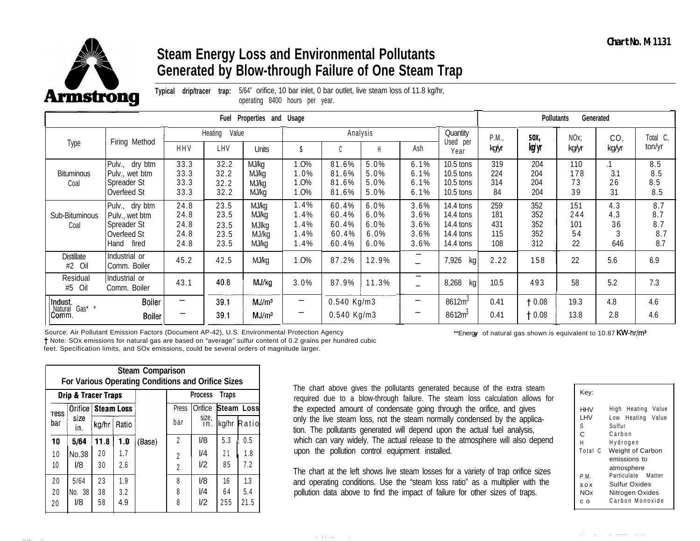

## **Steam Energy Loss and Environmental Pollutants Generated by Blow-through Failure of One Steam Trap**

| <b>Armstrong</b>                    |                                                                              | drip/tracer<br>Typical               | trap:                                | 5/64" orifice, 10 bar inlet, 0 bar outlet, live steam loss of 11.8 kg/hr,<br>operating 8400 hours per year. |                                      |                                           |                                      |                                            |                                                               |                                 |                                 |                               |                              |                                 |
|-------------------------------------|------------------------------------------------------------------------------|--------------------------------------|--------------------------------------|-------------------------------------------------------------------------------------------------------------|--------------------------------------|-------------------------------------------|--------------------------------------|--------------------------------------------|---------------------------------------------------------------|---------------------------------|---------------------------------|-------------------------------|------------------------------|---------------------------------|
|                                     |                                                                              |                                      | Fuel                                 | Properties and Usage                                                                                        |                                      |                                           |                                      |                                            |                                                               |                                 | Pollutants                      |                               | Generated                    |                                 |
|                                     |                                                                              |                                      | Value<br>Heating                     |                                                                                                             |                                      |                                           | Analysis                             |                                            | Quantity                                                      | P.M.,                           | SOX,                            | NO <sub>x</sub>               | CO <sub>1</sub>              | Total C,                        |
| Type                                | Firing Method                                                                | <b>HHV</b>                           | LHV                                  | <b>Units</b>                                                                                                | S                                    |                                           | $\mathsf{H}$                         | Ash                                        | Used per<br>Year                                              | kgyr                            | kg/yr                           | kg/yr                         | kg/yr                        | ton/yr                          |
| <b>Bituminous</b><br>Coal           | Pulv., dry btm<br>Pulv., wet btm<br>Spreader St<br>Overfeed St               | 33.3<br>33.3<br>33.3<br>33.3         | 32.2<br>32.2<br>32.2<br>32.2         | MJ/kg<br>MJ/kg<br>MJ/kg<br>MJ/kg                                                                            | 1.0%<br>1.0%<br>1.0%<br>1.0%         | 81.6%<br>81.6%<br>81.6%<br>81.6%          | 5.0%<br>5.0%<br>5.0%<br>5.0%         | 6.1%<br>6.1%<br>6.1%<br>6.1%               | 10.5 tons<br>$10.5$ tons<br>$10.5$ tons<br>$10.5$ tons        | 319<br>224<br>314<br>84         | 204<br>204<br>204<br>204        | 110<br>178<br>73<br>39        | $\cdot$ 1<br>3.1<br>26<br>31 | 8.5<br>8.5<br>8.5<br>8.5        |
| Sub-Bituminous<br>Coal              | Pulv., dry btm<br>Pulv., wet btm<br>Spreader St<br>Overfeed St<br>Hand fired | 24.8<br>24.8<br>24.8<br>24.8<br>24.8 | 23.5<br>23.5<br>23.5<br>23.5<br>23.5 | MJ/kg<br>MJ/kg<br><b>MJIkg</b><br>MJ/kg<br>MJ/kg                                                            | 1.4%<br>1.4%<br>1.4%<br>1.4%<br>1.4% | 60.4%<br>60.4%<br>60.4%<br>60.4%<br>60.4% | 6.0%<br>6.0%<br>6.0%<br>6.0%<br>6.0% | 3.6%<br>3.6%<br>3.6%<br>3.6%<br>3.6%       | 14.4 tons<br>14.4 tons<br>14.4 tons<br>14.4 tons<br>14.4 tons | 259<br>181<br>431<br>115<br>108 | 352<br>352<br>352<br>352<br>312 | 151<br>244<br>101<br>54<br>22 | 4.3<br>4.3<br>36<br>646      | 8.7<br>8.7<br>8.7<br>8.7<br>8.7 |
| <b>Distillate</b><br>#2 Oil         | Industrial or<br>Comm. Boiler                                                | 45.2                                 | 42.5                                 | MJ/kg                                                                                                       | 1.0%                                 | 87.2%                                     | 12.9%                                | $\overline{\phantom{0}}$<br>$\overline{a}$ | 7,926<br>kg                                                   | 2.22                            | 158                             | 22                            | 5.6                          | 6.9                             |
| Residual<br>$#5$ Oil                | Industrial or<br>Comm. Boiler                                                | 43.1                                 | 40.8                                 | MJ/kg                                                                                                       | 3.0%                                 | 87.9%                                     | 11.3%                                | $\overline{\phantom{0}}$<br>÷              | 8,268<br>kg                                                   | 10.5                            | 493                             | 58                            | 5.2                          | 7.3                             |
| Indust.<br>Natural Gas* *<br> Comm. | <b>Boiler</b><br><b>Boiler</b>                                               | -                                    | 39.1<br>39.1                         | MJ/m <sup>3</sup><br>MJ/m <sup>3</sup>                                                                      | -                                    | 0.540 Kg/m3<br>0.540 Kg/m3                |                                      | -                                          | 8612m <sup>3</sup><br>8612m <sup>3</sup>                      | 0.41<br>0.41                    | † 0.08<br>$\dagger$ 0.08        | 19.3<br>13.8                  | 4.8<br>2.8                   | 4.6<br>4.6                      |

and a strike and the

|                | <b>Steam Comparison</b><br>For Various Operating Conditions and Orifice Sizes |                   |                   |        |                                  |                   |                 |                    |  |  |  |  |  |  |  |
|----------------|-------------------------------------------------------------------------------|-------------------|-------------------|--------|----------------------------------|-------------------|-----------------|--------------------|--|--|--|--|--|--|--|
|                | <b>Drip &amp; Tracer Traps</b>                                                |                   |                   |        |                                  | Process           | <b>Traps</b>    |                    |  |  |  |  |  |  |  |
| 'ress          | Orifice                                                                       | <b>Steam Loss</b> |                   |        | Press                            | Orifice           |                 | Steam Loss         |  |  |  |  |  |  |  |
| bar            | size<br>in.                                                                   | kg/hr             | Ratio             |        | bar                              | size,<br>in.      |                 | kg/hr Ratio        |  |  |  |  |  |  |  |
| 10             | 5/64                                                                          | 11.8              | 1.0               | (Base) | $\overline{2}$                   | 1/8               | 5.3             | 0.5                |  |  |  |  |  |  |  |
| 10<br>10       | No.38<br>1/8                                                                  | 20<br>30          | 1.7<br>2.6        |        | $\overline{2}$<br>$\overline{2}$ | I/4<br>1/2        | 21<br>85        | 1.8<br>7.2         |  |  |  |  |  |  |  |
| 20<br>20<br>20 | 5/64<br>No. 38<br>I/8                                                         | 23<br>38<br>58    | 1.9<br>3.2<br>4.9 |        | 8<br>8<br>8                      | 1/8<br>I/4<br>1/2 | 16<br>64<br>255 | 1.3<br>5.4<br>21.5 |  |  |  |  |  |  |  |

The chart above gives the pollutants generated because of the extra steam required due to a blow-through failure. The steam loss calculation allows for the expected amount of condensate going through the orifice, and gives only the live steam loss, not the steam normally condensed by the application. The pollutants generated will depend upon the actual fuel analysis, which can vary widely. The actual release to the atmosphere will also depend upon the pollution control equipment installed.

The chart at the left shows live steam losses for a variety of trap orifice sizes and operating conditions. Use the "steam loss ratio" as a multiplier with the pollution data above to find the impact of failure for other sizes of traps.

| Kev:                              |                                                                               |
|-----------------------------------|-------------------------------------------------------------------------------|
| <b>HHV</b><br>I HV<br>S<br>С<br>Н | Value<br>High Heating<br>Value<br>Low Heating<br>Sulfur<br>Carbon<br>Hydrogen |
| Total C                           | <b>Weight of Carbon</b><br>emissions to<br>atmosphere                         |
| P.M.<br>SOX<br><b>NOx</b><br>c o  | Particulate Matter<br>Sulfur Oxides<br>Nitrogen Oxides<br>Carbon Monoxide     |